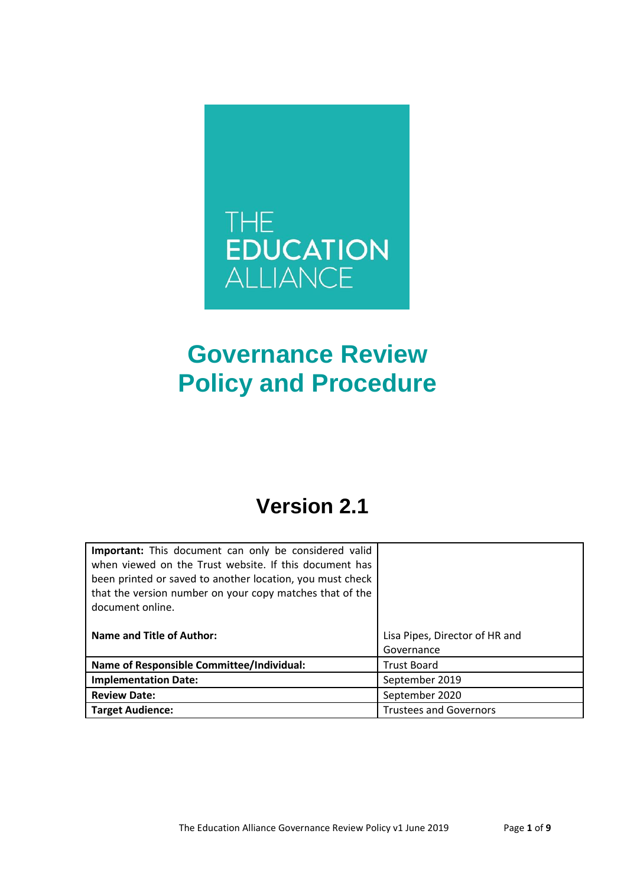

# **Governance Review Policy and Procedure**

## **Version 2.1**

| Important: This document can only be considered valid<br>when viewed on the Trust website. If this document has<br>been printed or saved to another location, you must check<br>that the version number on your copy matches that of the<br>document online. |                                |
|--------------------------------------------------------------------------------------------------------------------------------------------------------------------------------------------------------------------------------------------------------------|--------------------------------|
| <b>Name and Title of Author:</b>                                                                                                                                                                                                                             | Lisa Pipes, Director of HR and |
|                                                                                                                                                                                                                                                              | Governance                     |
| Name of Responsible Committee/Individual:                                                                                                                                                                                                                    | <b>Trust Board</b>             |
| <b>Implementation Date:</b>                                                                                                                                                                                                                                  | September 2019                 |
| <b>Review Date:</b>                                                                                                                                                                                                                                          | September 2020                 |
| <b>Target Audience:</b>                                                                                                                                                                                                                                      | <b>Trustees and Governors</b>  |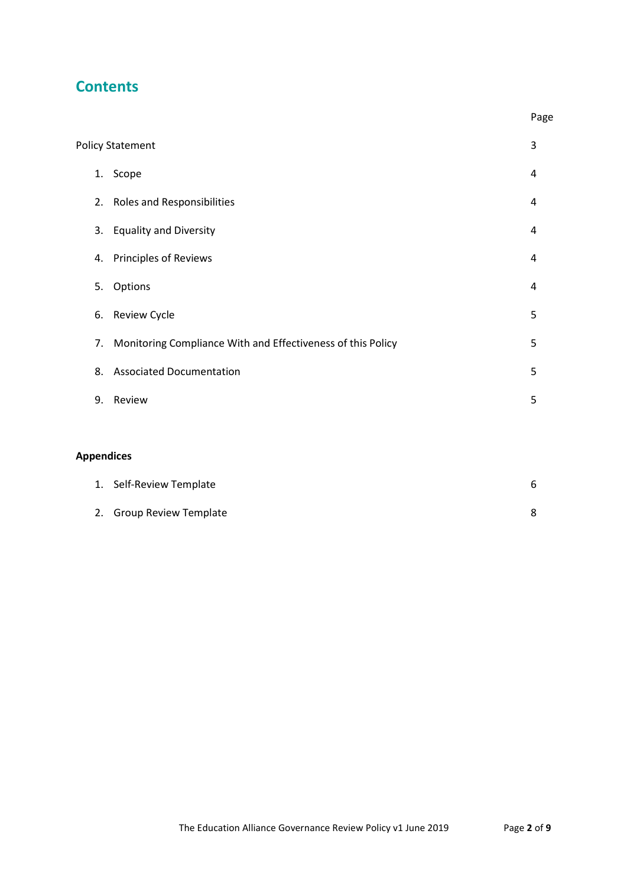## **Contents**

|    |                                                             | Page |
|----|-------------------------------------------------------------|------|
|    | <b>Policy Statement</b>                                     | 3    |
| 1. | Scope                                                       | 4    |
| 2. | <b>Roles and Responsibilities</b>                           | 4    |
| 3. | <b>Equality and Diversity</b>                               | 4    |
| 4. | <b>Principles of Reviews</b>                                | 4    |
| 5. | Options                                                     | 4    |
| 6. | <b>Review Cycle</b>                                         | 5    |
| 7. | Monitoring Compliance With and Effectiveness of this Policy | 5    |
| 8. | <b>Associated Documentation</b>                             | 5    |
| 9. | Review                                                      | 5    |
|    |                                                             |      |

### **Appendices**

| 1. Self-Review Template  |  |
|--------------------------|--|
| 2. Group Review Template |  |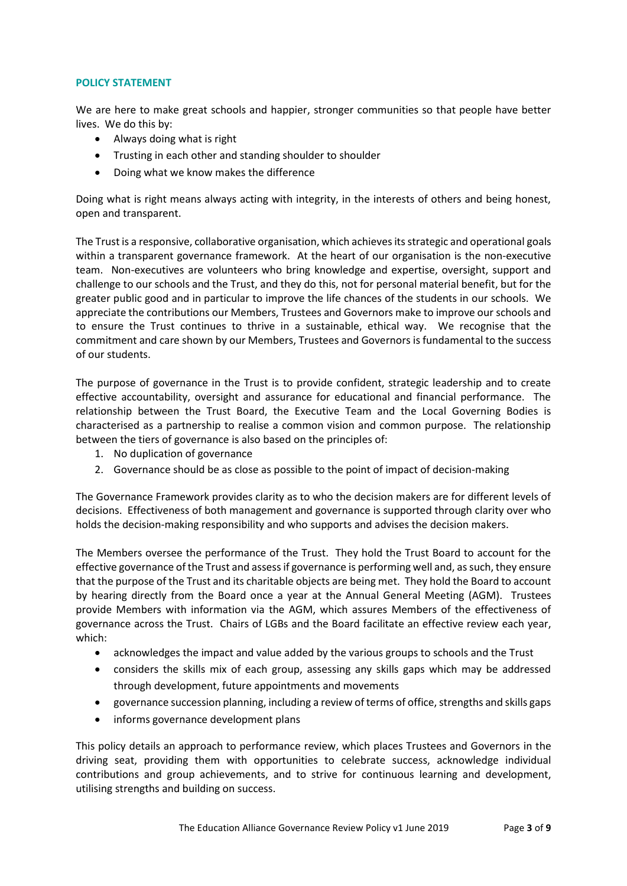#### **POLICY STATEMENT**

We are here to make great schools and happier, stronger communities so that people have better lives. We do this by:

- Always doing what is right
- Trusting in each other and standing shoulder to shoulder
- Doing what we know makes the difference

Doing what is right means always acting with integrity, in the interests of others and being honest, open and transparent.

The Trust is a responsive, collaborative organisation, which achieves its strategic and operational goals within a transparent governance framework. At the heart of our organisation is the non-executive team. Non-executives are volunteers who bring knowledge and expertise, oversight, support and challenge to our schools and the Trust, and they do this, not for personal material benefit, but for the greater public good and in particular to improve the life chances of the students in our schools. We appreciate the contributions our Members, Trustees and Governors make to improve our schools and to ensure the Trust continues to thrive in a sustainable, ethical way. We recognise that the commitment and care shown by our Members, Trustees and Governors is fundamental to the success of our students.

The purpose of governance in the Trust is to provide confident, strategic leadership and to create effective accountability, oversight and assurance for educational and financial performance. The relationship between the Trust Board, the Executive Team and the Local Governing Bodies is characterised as a partnership to realise a common vision and common purpose. The relationship between the tiers of governance is also based on the principles of:

- 1. No duplication of governance
- 2. Governance should be as close as possible to the point of impact of decision-making

The Governance Framework provides clarity as to who the decision makers are for different levels of decisions. Effectiveness of both management and governance is supported through clarity over who holds the decision-making responsibility and who supports and advises the decision makers.

The Members oversee the performance of the Trust. They hold the Trust Board to account for the effective governance of the Trust and assess if governance is performing well and, as such, they ensure that the purpose of the Trust and its charitable objects are being met. They hold the Board to account by hearing directly from the Board once a year at the Annual General Meeting (AGM). Trustees provide Members with information via the AGM, which assures Members of the effectiveness of governance across the Trust. Chairs of LGBs and the Board facilitate an effective review each year, which:

- acknowledges the impact and value added by the various groups to schools and the Trust
- considers the skills mix of each group, assessing any skills gaps which may be addressed through development, future appointments and movements
- governance succession planning, including a review of terms of office, strengths and skills gaps
- informs governance development plans

This policy details an approach to performance review, which places Trustees and Governors in the driving seat, providing them with opportunities to celebrate success, acknowledge individual contributions and group achievements, and to strive for continuous learning and development, utilising strengths and building on success.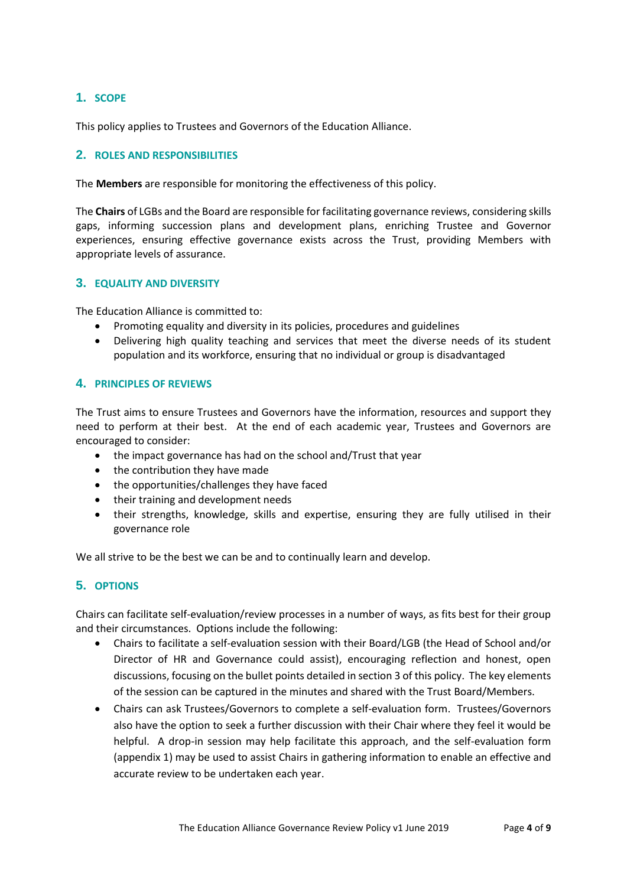#### **1. SCOPE**

This policy applies to Trustees and Governors of the Education Alliance.

#### **2. ROLES AND RESPONSIBILITIES**

The **Members** are responsible for monitoring the effectiveness of this policy.

The **Chairs** of LGBs and the Board are responsible for facilitating governance reviews, considering skills gaps, informing succession plans and development plans, enriching Trustee and Governor experiences, ensuring effective governance exists across the Trust, providing Members with appropriate levels of assurance.

#### **3. EQUALITY AND DIVERSITY**

The Education Alliance is committed to:

- Promoting equality and diversity in its policies, procedures and guidelines
- Delivering high quality teaching and services that meet the diverse needs of its student population and its workforce, ensuring that no individual or group is disadvantaged

#### **4. PRINCIPLES OF REVIEWS**

The Trust aims to ensure Trustees and Governors have the information, resources and support they need to perform at their best. At the end of each academic year, Trustees and Governors are encouraged to consider:

- the impact governance has had on the school and/Trust that year
- the contribution they have made
- the opportunities/challenges they have faced
- their training and development needs
- their strengths, knowledge, skills and expertise, ensuring they are fully utilised in their governance role

We all strive to be the best we can be and to continually learn and develop.

#### **5. OPTIONS**

Chairs can facilitate self-evaluation/review processes in a number of ways, as fits best for their group and their circumstances. Options include the following:

- Chairs to facilitate a self-evaluation session with their Board/LGB (the Head of School and/or Director of HR and Governance could assist), encouraging reflection and honest, open discussions, focusing on the bullet points detailed in section 3 of this policy. The key elements of the session can be captured in the minutes and shared with the Trust Board/Members.
- Chairs can ask Trustees/Governors to complete a self-evaluation form. Trustees/Governors also have the option to seek a further discussion with their Chair where they feel it would be helpful. A drop-in session may help facilitate this approach, and the self-evaluation form (appendix 1) may be used to assist Chairs in gathering information to enable an effective and accurate review to be undertaken each year.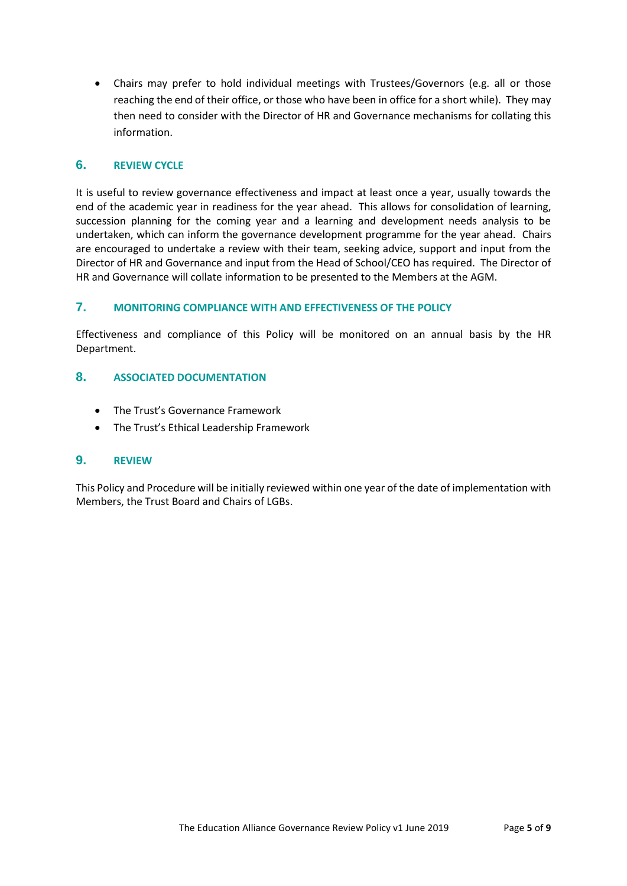Chairs may prefer to hold individual meetings with Trustees/Governors (e.g. all or those reaching the end of their office, or those who have been in office for a short while). They may then need to consider with the Director of HR and Governance mechanisms for collating this information.

#### **6. REVIEW CYCLE**

It is useful to review governance effectiveness and impact at least once a year, usually towards the end of the academic year in readiness for the year ahead. This allows for consolidation of learning, succession planning for the coming year and a learning and development needs analysis to be undertaken, which can inform the governance development programme for the year ahead. Chairs are encouraged to undertake a review with their team, seeking advice, support and input from the Director of HR and Governance and input from the Head of School/CEO has required. The Director of HR and Governance will collate information to be presented to the Members at the AGM.

#### **7. MONITORING COMPLIANCE WITH AND EFFECTIVENESS OF THE POLICY**

Effectiveness and compliance of this Policy will be monitored on an annual basis by the HR Department.

#### **8. ASSOCIATED DOCUMENTATION**

- The Trust's Governance Framework
- The Trust's Ethical Leadership Framework

#### **9. REVIEW**

This Policy and Procedure will be initially reviewed within one year of the date of implementation with Members, the Trust Board and Chairs of LGBs.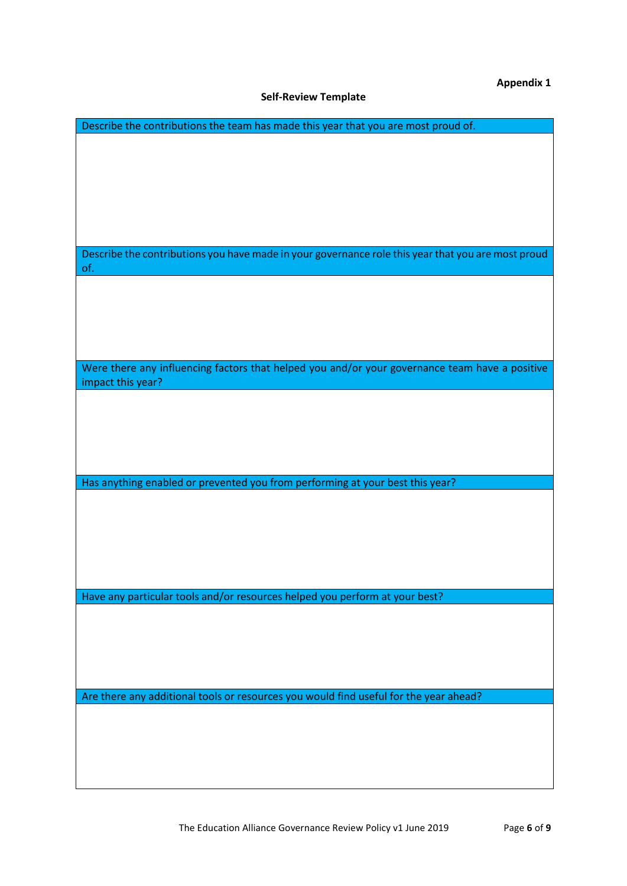**Appendix 1**

#### **Self-Review Template**

| Describe the contributions the team has made this year that you are most proud of.                 |  |
|----------------------------------------------------------------------------------------------------|--|
|                                                                                                    |  |
|                                                                                                    |  |
|                                                                                                    |  |
|                                                                                                    |  |
|                                                                                                    |  |
|                                                                                                    |  |
|                                                                                                    |  |
|                                                                                                    |  |
| Describe the contributions you have made in your governance role this year that you are most proud |  |
| of.                                                                                                |  |
|                                                                                                    |  |
|                                                                                                    |  |
|                                                                                                    |  |
|                                                                                                    |  |
|                                                                                                    |  |
|                                                                                                    |  |
| Were there any influencing factors that helped you and/or your governance team have a positive     |  |
| impact this year?                                                                                  |  |
|                                                                                                    |  |
|                                                                                                    |  |
|                                                                                                    |  |
|                                                                                                    |  |
|                                                                                                    |  |
|                                                                                                    |  |
| Has anything enabled or prevented you from performing at your best this year?                      |  |
|                                                                                                    |  |
|                                                                                                    |  |
|                                                                                                    |  |
|                                                                                                    |  |
|                                                                                                    |  |
|                                                                                                    |  |
|                                                                                                    |  |
| Have any particular tools and/or resources helped you perform at your best?                        |  |
|                                                                                                    |  |
|                                                                                                    |  |
|                                                                                                    |  |
|                                                                                                    |  |
|                                                                                                    |  |
|                                                                                                    |  |
| Are there any additional tools or resources you would find useful for the year ahead?              |  |
|                                                                                                    |  |
|                                                                                                    |  |
|                                                                                                    |  |
|                                                                                                    |  |
|                                                                                                    |  |
|                                                                                                    |  |
|                                                                                                    |  |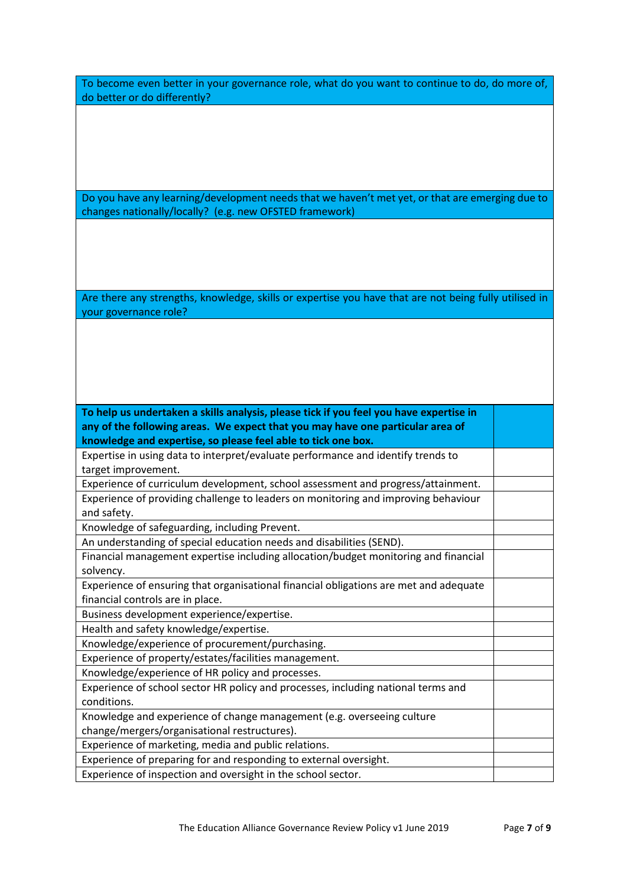| To become even better in your governance role, what do you want to continue to do, do more of, |  |
|------------------------------------------------------------------------------------------------|--|
| do better or do differently?                                                                   |  |

Do you have any learning/development needs that we haven't met yet, or that are emerging due to changes nationally/locally? (e.g. new OFSTED framework)

Are there any strengths, knowledge, skills or expertise you have that are not being fully utilised in your governance role?

**To help us undertaken a skills analysis, please tick if you feel you have expertise in any of the following areas. We expect that you may have one particular area of knowledge and expertise, so please feel able to tick one box.**

Expertise in using data to interpret/evaluate performance and identify trends to target improvement.

Experience of curriculum development, school assessment and progress/attainment. Experience of providing challenge to leaders on monitoring and improving behaviour and safety.

Knowledge of safeguarding, including Prevent.

An understanding of special education needs and disabilities (SEND).

Financial management expertise including allocation/budget monitoring and financial solvency.

Experience of ensuring that organisational financial obligations are met and adequate financial controls are in place.

Business development experience/expertise.

Health and safety knowledge/expertise.

Knowledge/experience of procurement/purchasing. Experience of property/estates/facilities management.

Knowledge/experience of HR policy and processes.

Experience of school sector HR policy and processes, including national terms and

conditions.

Knowledge and experience of change management (e.g. overseeing culture change/mergers/organisational restructures).

Experience of marketing, media and public relations.

Experience of preparing for and responding to external oversight.

Experience of inspection and oversight in the school sector.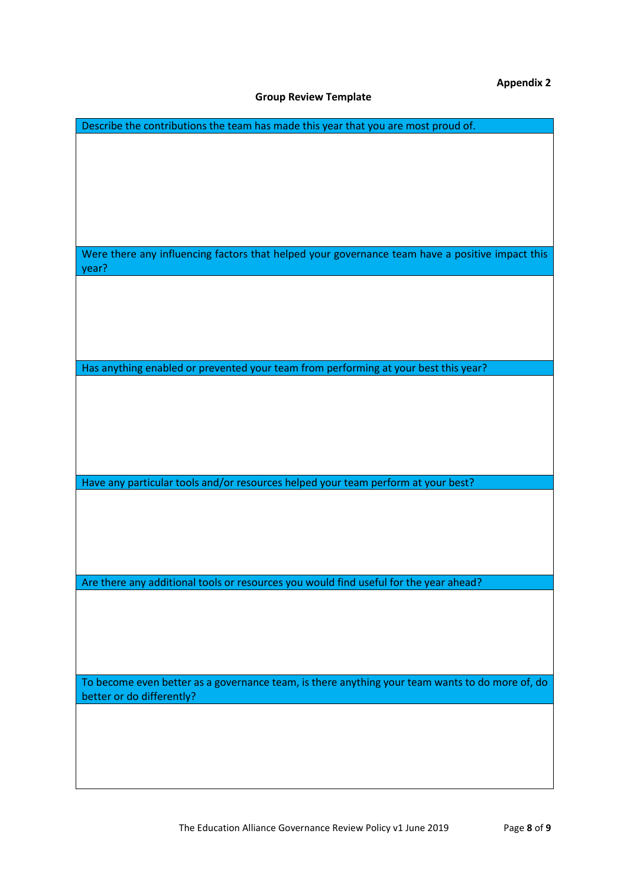**Appendix 2**

#### **Group Review Template**

| Describe the contributions the team has made this year that you are most proud of.              |
|-------------------------------------------------------------------------------------------------|
|                                                                                                 |
|                                                                                                 |
|                                                                                                 |
|                                                                                                 |
|                                                                                                 |
|                                                                                                 |
|                                                                                                 |
| Were there any influencing factors that helped your governance team have a positive impact this |
| year?                                                                                           |
|                                                                                                 |
|                                                                                                 |
|                                                                                                 |
|                                                                                                 |
|                                                                                                 |
|                                                                                                 |
| Has anything enabled or prevented your team from performing at your best this year?             |
|                                                                                                 |
|                                                                                                 |
|                                                                                                 |
|                                                                                                 |
|                                                                                                 |
|                                                                                                 |
| Have any particular tools and/or resources helped your team perform at your best?               |
|                                                                                                 |
|                                                                                                 |
|                                                                                                 |
|                                                                                                 |
|                                                                                                 |
|                                                                                                 |
| Are there any additional tools or resources you would find useful for the year ahead?           |
|                                                                                                 |
|                                                                                                 |
|                                                                                                 |
|                                                                                                 |
|                                                                                                 |
| To become even better as a governance team, is there anything your team wants to do more of, do |
| better or do differently?                                                                       |
|                                                                                                 |
|                                                                                                 |
|                                                                                                 |
|                                                                                                 |
|                                                                                                 |
|                                                                                                 |